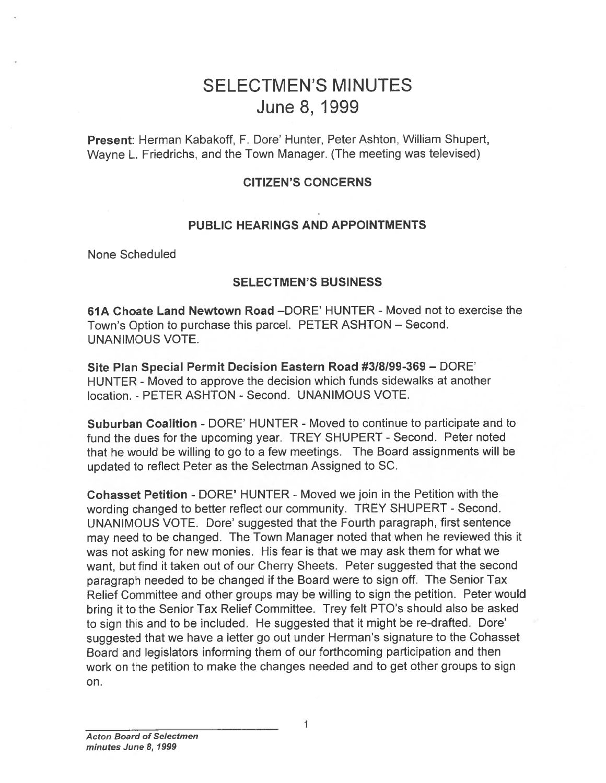# SELECTMEN'S MINUTES June 8, 1999

Present: Herman Kabakoff, F. Dore' Hunter, Peter Ashton, William Shupert, Wayne L. Friedrichs, and the Town Manager. (The meeting was televised)

#### CITIZEN'S CONCERNS

#### PUBLIC HEARINGS AND APPOINTMENTS

None Scheduled

#### SELECTMEN'S BUSINESS

61A Choate Land Newtown Road —DORE' HUNTER -Moved not to exercise the Town's Option to purchase this parcel. PETER ASHTON — Second. UNANIMOUS VOTE.

Site Plan Special Permit Decision Eastern Road #3/8199-369 — DORE' HUNTER - Moved to approve the decision which funds sidewalks at another location. - PETER ASHTON -Second. UNANIMOUS VOTE.

Suburban Coalition - DORE' HUNTER - Moved to continue to participate and to fund the dues for the upcoming year. TREY SHUPERT - Second. Peter noted that he would be willing to go to <sup>a</sup> few meetings. The Board assignments will be updated to reflect Peter as the Selectman Assigned to SC.

Cohasset Petition - DORE' HUNTER -Moved we join in the Petition with the wording changed to better reflect our community. TREY SHUPERT - Second. UNANIMOUS VOTE. Dore' suggested that the Fourth paragraph, first sentence may need to be changed. The Town Manager noted that when he reviewed this it was not asking for new monies. His fear is that we may ask them for what we want, but find it taken out of our Cherry Sheets. Peter suggested that the second paragrap<sup>h</sup> needed to be changed if the Board were to sign off. The Senior Tax Relief Committee and other groups may be willing to sign the petition. Peter would bring it to the Senior Tax Relief Committee. Trey felt PTO's should also be asked to sign this and to be included. He suggested that it might be re-drafted. Dore' suggested that we have <sup>a</sup> letter go out under Herman's signature to the Cohasset Board and legislators informing them of our forthcoming participation and then work on the petition to make the changes needed and to ge<sup>t</sup> other groups to sign SELECTM<br>
JUI<br>
Present: Herman Kabakoff, F. Dore<br>
Wayne L. Friedrichs, and the Town<br>
CITIZE<br>
PUBLIC HEARIN<br>
None Scheduled<br>
SELECT<br>
61A Choate Land Newtown Road<br>
Town's Option to purchase this parc<br>
UNANIMOUS VOTE.<br>
Site Pl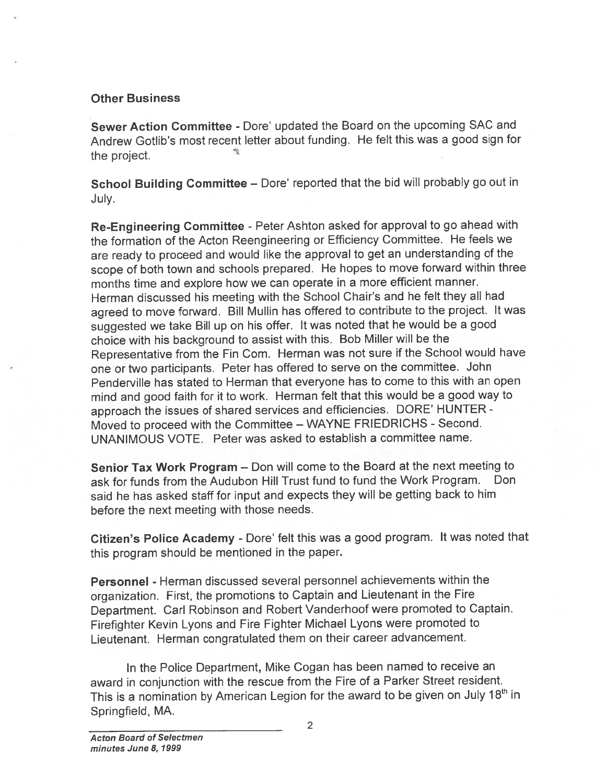### Other Business

Sewer Action Committee - Dore' updated the Board on the upcoming SAC and Andrew Gotlib's most recent letter about funding. He felt this was <sup>a</sup> good sign for the project.

School Building Committee — Dore' reported that the bid will probably go out in July.

Re-Engineering Committee - Peter Ashton asked for approval to go ahead with the formation of the Acton Reengineering or Efficiency Committee. He feels we are ready to procee<sup>d</sup> and would like the approva<sup>l</sup> to ge<sup>t</sup> an understanding of the scope of both town and schools prepared. He hopes to move forward within three months time and explore how we can operate in <sup>a</sup> more efficient manner. Herman discussed his meeting with the School Chair's and he felt they all had agree<sup>d</sup> to move forward. Bill Mullin has offered to contribute to the project. It was suggested we take Bill up on his offer, It was noted that he would be <sup>a</sup> goo<sup>d</sup> choice with his background to assist with this. Bob Miller will be the Representative from the Fin Com. Herman was not sure if the School would have one or two participants. Peter has offered to serve on the committee. John Penderville has stated to Herman that everyone has to come to this with an open mind and goo<sup>d</sup> faith for it to work. Herman felt that this would be <sup>a</sup> goo<sup>d</sup> way to approac<sup>h</sup> the issues of shared services and efficiencies. DORE' HUNTER - Moved to procee<sup>d</sup> with the Committee — WAYNE FRIEDRICHS - Second. UNANIMOUS VOTE. Peter was asked to establish <sup>a</sup> committee name.

Senior Tax Work Program — Don will come to the Board at the next meeting to ask for funds from the Audubon Hill Trust fund to fund the Work Program. Don said he has asked staff for input and expects they will be getting back to him before the next meeting with those needs.

Citizen's Police Academy - Dore' felt this was <sup>a</sup> goo<sup>d</sup> program. It was noted that this program should be mentioned in the paper.

Personnel - Herman discussed several personne<sup>l</sup> achievements within the organization. First, the promotions to Captain and Lieutenant in the Fire Department. Carl Robinson and Robert Vanderhoof were promoted to Captain. Firefighter Kevin Lyons and Fire Fighter Michael Lyons were promoted to Lieutenant. Herman congratulated them on their career advancement.

In the Police Department, Mike Cogan has been named to receive an award in conjunction with the rescue from the Fire of <sup>a</sup> Parker Street resident. This is a nomination by American Legion for the award to be given on July 18<sup>th</sup> in Springfield, MA.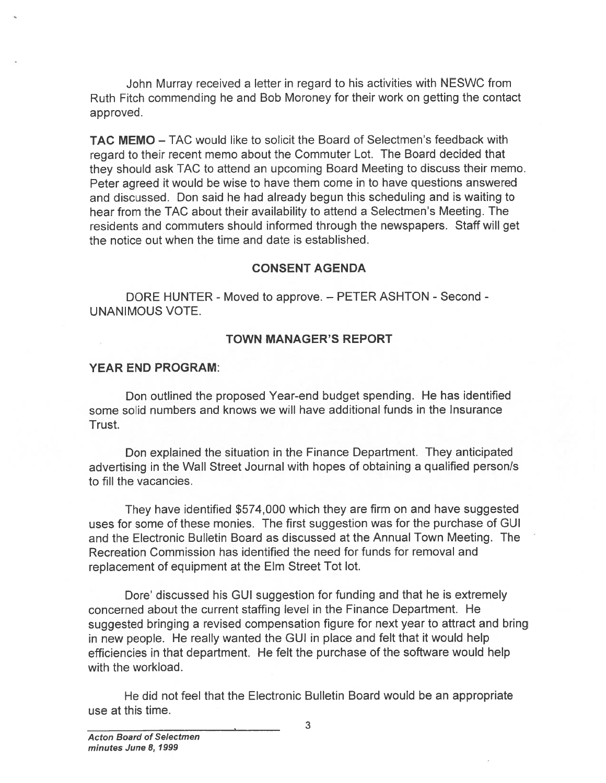John Murray received <sup>a</sup> letter in regard to his activities with NESWC from Ruth Fitch commending he and Bob Moroney for their work on getting the contact approved.

**TAC MEMO** – TAC would like to solicit the Board of Selectmen's feedback with regar<sup>d</sup> to their recent memo about the Commuter Lot. The Board decided that they should ask TAO to attend an upcoming Board Meeting to discuss their memo. Peter agreed it would be wise to have them come in to have questions answered and discussed. Don said he had already begun this scheduling and is waiting to hear from the TAO about their availability to attend <sup>a</sup> Selectmen's Meeting. The residents and commuters should informed through the newspapers. Staff will ge<sup>t</sup> the notice out when the time and date is established. John Murray received a lette<br>
Ruth Fitch commending he and Bot<br>
Ruth Fitch commending he and Bot<br>
approved.<br>
TAC MEMO – TAC would like to so<br>
regard to their recent memo about they should ask TAC to attend an u<br>
Peter agre

#### CONSENT AGENDA

DORE HUNTER - Moved to approve. — PETER ASHTON - Second - UNANIMOUS VOTE.

#### TOWN MANAGER'S REPORT

#### YEAR END PROGRAM:

Don outlined the proposed Year-end budget spending. He has identified some solid numbers and knows we will have additional funds in the Insurance Trust.

Don explained the situation in the Finance Department. They anticipated advertising in the Wall Street Journal with hopes of obtaining <sup>a</sup> qualified person/s to fill the vacancies.

They have identified \$574,000 which they are firm on and have suggested uses for some of these monies. The first suggestion was for the purchase of GUI and the Electronic Bulletin Board as discussed at the Annual Town Meeting. The Recreation Commission has identified the need for funds for removal and replacement of equipment at the Elm Street Tot lot.

Dore' discussed his GUI suggestion for funding and that he is extremely concerned about the current staffing level in the Finance Department. He suggested bringing <sup>a</sup> revised compensation figure for next year to attract and bring in new people. He really wanted the GUI in <sup>p</sup>lace and felt that it would help efficiencies in that department. He felt the purchase of the software would help with the workload.

He did not feel that the Electronic Bulletin Board would be an appropriate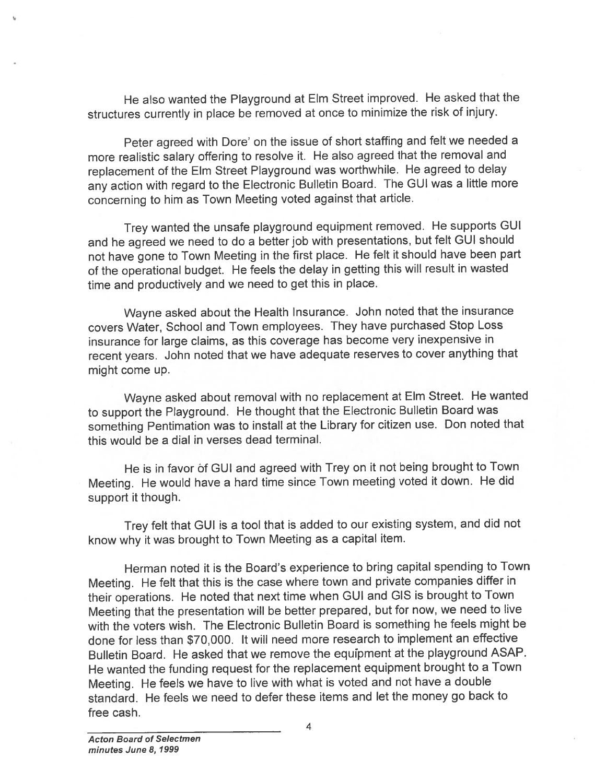He also wanted the Playground at Elm Street improved. He asked that the structures currently in <sup>p</sup>lace be removed at once to minimize the risk of injury.

Peter agree<sup>d</sup> with Dore' on the issue of short staffing and felt we needed <sup>a</sup> more realistic salary offering to resolve it. He also agree<sup>d</sup> that the removal and replacement of the Elm Street Playground was worthwhile. He agree<sup>d</sup> to delay any action with regar<sup>d</sup> to the Electronic Bulletin Board. The GUI was <sup>a</sup> little more concerning to him as Town Meeting voted against that article.

Trey wanted the unsafe <sup>p</sup>layground equipment removed. He supports GUI and he agree<sup>d</sup> we need to do <sup>a</sup> better job with presentations, but felt GUI should not have gone to Town Meeting in the first <sup>p</sup>lace. He felt it should have been par<sup>t</sup> of the operational budget. He feels the delay in getting this will result in wasted time and productively and we need to ge<sup>t</sup> this in <sup>p</sup>lace.

Wayne asked about the Health Insurance. John noted that the insurance covers Water, School and Town employees. They have purchased Stop Loss insurance for large claims, as this coverage has become very inexpensive in recent years. John noted that we have adequate reserves to cover anything that might come up.

Wayne asked about removal with no replacement at Elm Street. He wanted to suppor<sup>t</sup> the Playground. He thought that the Electronic Bulletin Board was something Pentimation was to install at the Library for citizen use. Don noted that this would be <sup>a</sup> dial in verses dead terminal.

He is in favor of GUI and agree<sup>d</sup> with Trey on it not being brought to Town Meeting. He would have <sup>a</sup> hard time since Town meeting voted it down. He did suppor<sup>t</sup> it though.

Trey felt that GUI is <sup>a</sup> tool that is added to our existing system, and did not know why it was brought to Town Meeting as <sup>a</sup> capital item.

Herman noted it is the Board's experience to bring capital spending to Town Meeting. He felt that this is the case where town and private companies differ in their operations. He noted that next time when GUI and GIS is brought to Town Meeting that the presentation will be better prepared, but for now, we need to live with the voters wish. The Electronic Bulletin Board is something he feels might be done for less than \$70,000. It will need more research to implement an effective Bulletin Board. He asked that we remove the equfpment at the <sup>p</sup>layground ASAP. He wanted the funding reques<sup>t</sup> for the replacement equipment brought to <sup>a</sup> Town Meeting. He feels we have to live with what is voted and not have <sup>a</sup> double standard. He feels we need to defer these items and let the money go back to free cash.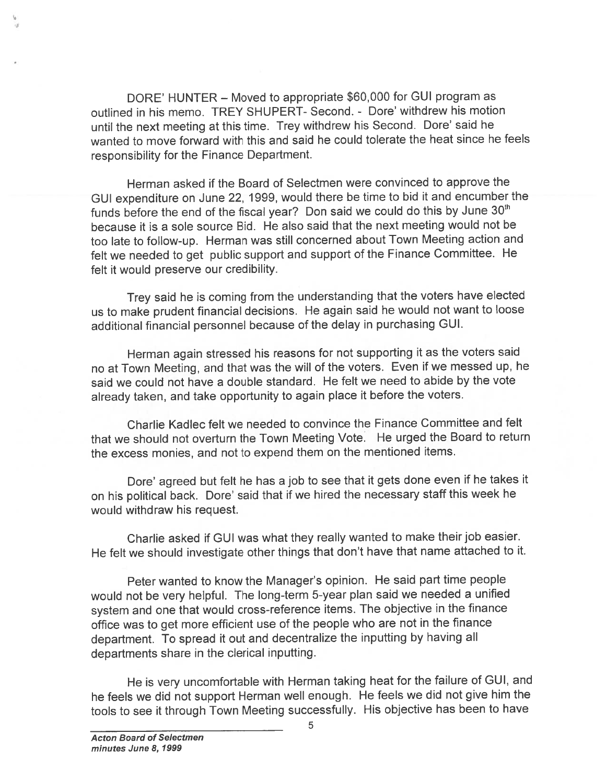DORE' HUNTER — Moved to appropriate \$60,000 for GUI program as outlined in his memo. TREY SHUPERT- Second. - Dote' withdrew his motion until the next meeting at this time. Trey withdrew his Second. Dore' said he wanted to move forward with this and said he could tolerate the heat since he feels responsibility for the Finance Department.

Herman asked if the Board of Selectmen were convinced to approve the GUI expenditure on June 22, 1999, would there be time to bid it and encumber the funds before the end of the fiscal year? Don said we could do this by June  $30<sup>th</sup>$ because it is <sup>a</sup> sole source Bid. He also said that the next meeting would not be too late to follow-up. Herman was still concerned about Town Meeting action and felt we needed to ge<sup>t</sup> public suppor<sup>t</sup> and suppor<sup>t</sup> of the Finance Committee. He felt it would preserve our credibility.

Trey said he is coming from the understanding that the voters have elected us to make prudent financial decisions. He again said he would not want to loose additional financial personne<sup>l</sup> because of the delay in purchasing GUI.

Herman again stressed his reasons for not supporting it as the voters said no at Town Meeting, and that was the will of the voters. Even if we messed up, he said we could not have <sup>a</sup> double standard. He felt we need to abide by the vote already taken, and take opportunity to again <sup>p</sup>lace it before the voters.

Charlie Kadlec felt we needed to convince the Finance Committee and felt that we should not overturn the Town Meeting Vote. He urged the Board to return the excess monies, and not to expend them on the mentioned items.

Dore' agree<sup>d</sup> but felt he has <sup>a</sup> job to see that it gets done even if he takes it on his political back. Dore' said that if we hired the necessary staff this week he would withdraw his request.

Charlie asked if GUI was what they really wanted to make their job easier. He felt we should investigate other things that don't have that name attached to it.

Peter wanted to know the Manager's opinion. He said par<sup>t</sup> time people would not be very helpful. The long-term 5-year <sup>p</sup>lan said we needed <sup>a</sup> unified system and one that would cross-reference items. The objective in the finance office was to ge<sup>t</sup> more efficient use of the people who are not in the finance department. To sprea<sup>d</sup> it out and decentralize the inputting by having all departments share in the clerical inputting.

He is very uncomfortable with Herman taking heat for the failure of GUI, and he feels we did not suppor<sup>t</sup> Herman well enough. He feels we did not <sup>g</sup>ive him the tools to see it through Town Meeting successfully. His objective has been to have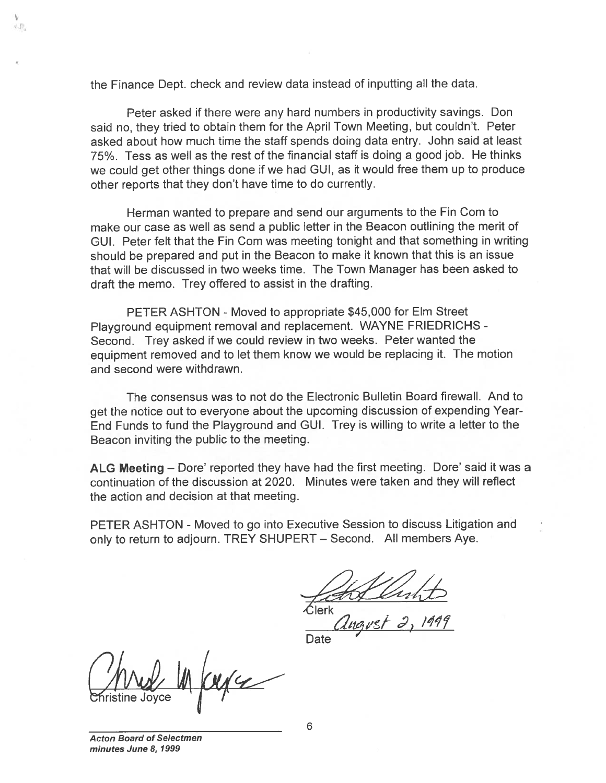the Finance Dept. check and review data instead of inputting all the data.

Peter asked if there were any hard numbers in productivity savings. Don said no, they tried to obtain them for the April Town Meeting, but couldn't. Peter asked about how much time the staff spends doing data entry. John said at least 75%. Tess as well as the rest of the financial staff is doing <sup>a</sup> good job. He thinks we could ge<sup>t</sup> other things done if we had GUI, as it would free them up to produce other reports that they don't have time to do currently.

Herman wanted to prepare and send our arguments to the Fin Com to make our case as well as send <sup>a</sup> public letter in the Beacon outlining the merit of GUI. Peter felt that the Fin Com was meeting tonight and that something in writing should be prepared and pu<sup>t</sup> in the Beacon to make it known that this is an issue that will be discussed in two weeks time. The Town Manager has been asked to draft the memo. Trey offered to assist in the drafting. the Finance Dept. check and review<br>
Peter asked if there were any<br>
said no, they tried to obtain them for<br>
asked about how much time the sta<br>
we could get other things done if we<br>
ore could get other things done if we<br>
oth

PETER ASHTON - Moved to appropriate \$45,000 for Elm Street Playground equipment removal and replacement. WAYNE FRIEDRICHS - Second. Trey asked if we could review in two weeks. Peter wanted the equipment removed and to let them know we would be replacing it. The motion and second were withdrawn.

The consensus was to not do the Electronic Bulletin Board firewall. And to ge<sup>t</sup> the notice out to everyone about the upcoming discussion of expending Year-End Funds to fund the Playground and GUI. Trey is willing to write <sup>a</sup> letter to the Beacon inviting the public to the meeting.

ALG Meeting — Dore' reported they have had the first meeting. Dore' said it was <sup>a</sup> continuation of the discussion at 2020. Minutes were taken and they will reflect the action and decision at that meeting.

PETER ASHTON - Moved to go into Executive Session to discuss Litigation and only to return to adjourn. TREY SHUPERT — Second. All members Aye.

lerk

Date '

Acton Board of Selectmen minutes June 8, 1999

d.p.

6